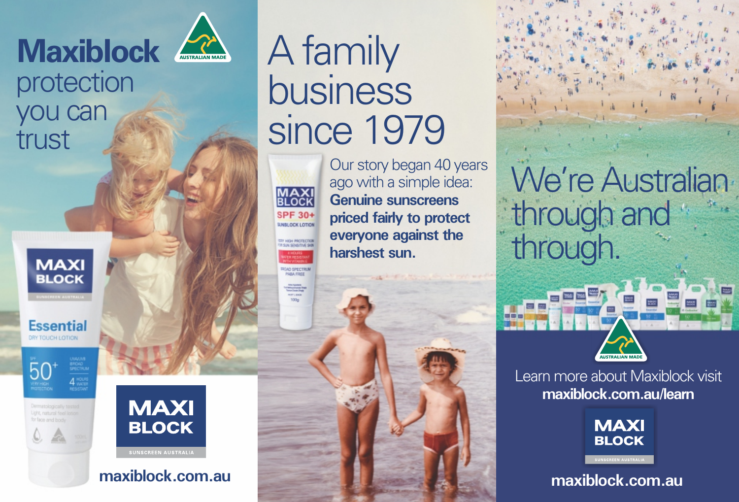

### protection you can trust



**Essential** DRY TOUCH LOTION

50





**maxiblock.com.au**

# A family business since 1979



**ROAD SPECTRU** 

Our story began 40 years ago with a simple idea: **Genuine sunscreens priced fairly to protect everyone against the harshest sun.**

We're Australian through and through.



Learn more about Maxiblock visit **maxiblock.com.au/learn**



**maxiblock.com.au**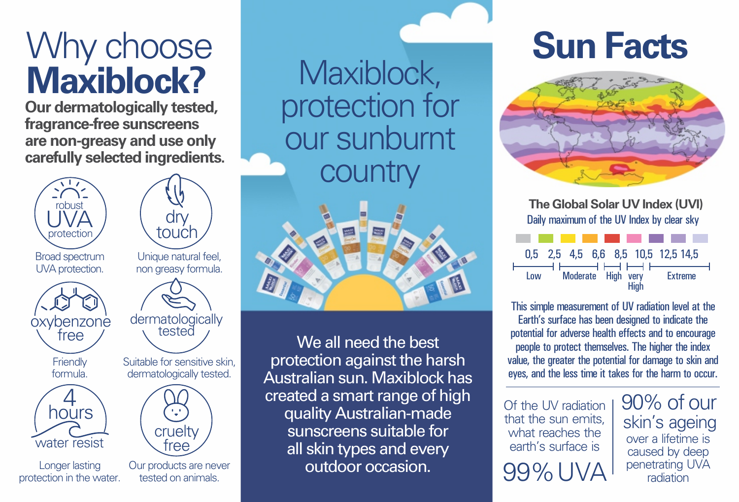# Why choose **Maxiblock?**

**Our dermatologically tested, fragrance-free sunscreens are non-greasy and use only carefully selected ingredients.**







tested

Suitable for sensitive skin, dermatologically tested.

**oxybenzone** free dermatologically





Longer lasting protection in the water.

free Our products are never tested on animals.

cruelty

Maxiblock, protection for our sunburnt **country** 



We all need the best protection against the harsh Australian sun. Maxiblock has created a smart range of high quality Australian-made sunscreens suitable for all skin types and every outdoor occasion.

# **Sun Facts**



**The Global Solar UV Index (UVI)** Daily maximum of the UV Index by clear sky



This simple measurement of UV radiation level at the Earth's surface has been designed to indicate the potential for adverse health effects and to encourage people to protect themselves. The higher the index value, the greater the potential for damage to skin and eyes, and the less time it takes for the harm to occur.

Of the UV radiation that the sun emits what reaches the earth's surface is 99% UVA 90% of our over a lifetime is caused by deep penetrating UVA radiation skin's ageing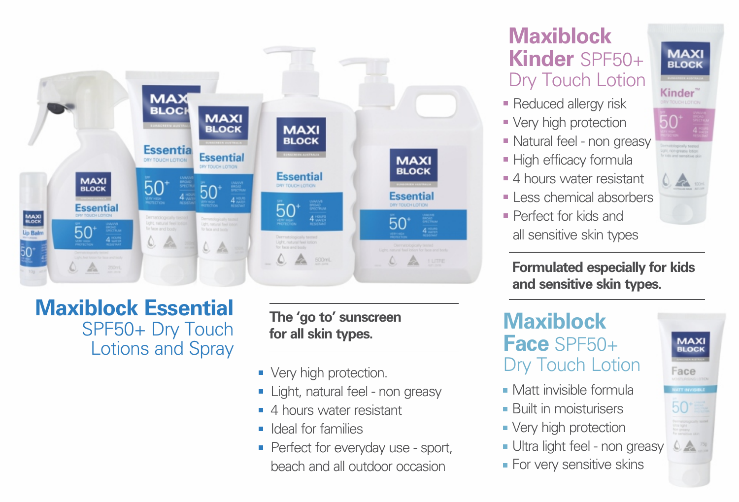

#### **Maxiblock Essential** SPF50+ Dry Touch Lotions and Spray

#### **The 'go to' sunscreen for all skin types.**

- Very high protection.
- **Light, natural feel non greasy**
- 4 hours water resistant
- ldeal for families
- **Perfect for everyday use sport,** beach and all outdoor occasion

#### **Maxiblock Kinder** SPF50+ Dry Touch Lotion

- Reduced allergy risk
- Very high protection
- Natural feel non greasy
- **High efficacy formula**
- 4 hours water resistant
- $\blacksquare$  Less chemical absorbers
- Perfect for kids and all sensitive skin types

**MAXI**<br>BLOCK Kinder<sup>\*</sup> 50

**Formulated especially for kids and sensitive skin types.** 

**Maxiblock Face** SPF50+ Dry Touch Lotion

**For very sensitive skins** 

Matt invisible formula **Built in moisturisers • Very high protection** Ultra light feel - non greasy